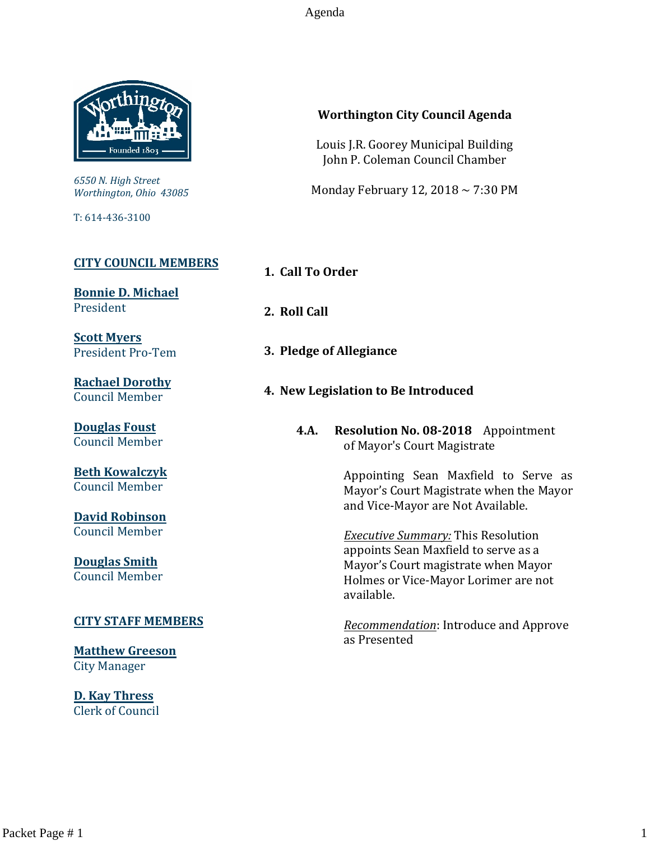Agenda



*6550 N. High Street Worthington, Ohio 43085*

T: 614-436-3100

### **[CITY COUNCIL MEMBERS](mailto:CityCouncil@ci.worthington.oh.us?subject=Email%20from%20City%20Council%20Meeting%20Agenda%20Link)**

**[Bonnie D. Michael](mailto:bmichael@ci.worthington.oh.us?subject=Email%20from%20City%20Council%20Meeting%20Agenda%20Link)** President

**[Scott Myers](mailto:smyers@ci.worthington.oh.us?subject=Email%20from%20City%20Council%20Meeting%20Agenda%20Link)** President Pro-Tem

**[Rachael Dorothy](mailto:rdorothy@ci.worthington.oh.us?subject=Email%20from%20City%20Council%20Meeting%20Agenda%20Link)** Council Member

**[Douglas Foust](mailto:Doug.Foust@ci.worthington.oh.us?subject=Email%20from%20City%20Council%20Meeting%20Agenda%20Link)** Council Member

**[Beth Kowalczyk](mailto:BKowalczyk@ci.worthington.oh.us)** Council Member

**[David Robinson](mailto:DRobinson@ci.worthington.oh.us)** Council Member

**[Douglas Smith](mailto:DSmith@ci.worthington.oh.us?subject=Email%20from%20City%20Council%20Meeting%20Agenda%20Link)** Council Member

### **[CITY STAFF MEMBERS](mailto:Council@ci.worthington.oh.us?subject=Email%20from%20City%20Council%20Meeting%20Agenda%20Link)**

**[Matthew Greeson](mailto:MGreeson@ci.worthington.oh.us?subject=Email%20from%20City%20Council%20Meeting%20Agenda%20Link)** City Manager

**[D. Kay Thress](mailto:DThress@ci.worthington.oh.us?subject=Email%20from%20City%20Council%20Meeting%20Agenda%20Link)** Clerk of Council

### **Worthington City Council Agenda**

Louis J.R. Goorey Municipal Building John P. Coleman Council Chamber

Monday February 12, 2018  $\sim$  7:30 PM

**1. Call To Order**

**2. Roll Call**

- **3. Pledge of Allegiance**
- **4. New Legislation to Be Introduced**
	- **4.A. Resolution No. 08-2018** Appointment of Mayor's Court Magistrate

Appointing Sean Maxfield to Serve as Mayor's Court Magistrate when the Mayor and Vice-Mayor are Not Available.

*Executive Summary:* This Resolution appoints Sean Maxfield to serve as a Mayor's Court magistrate when Mayor Holmes or Vice-Mayor Lorimer are not available.

*Recommendation*: Introduce and Approve as Presented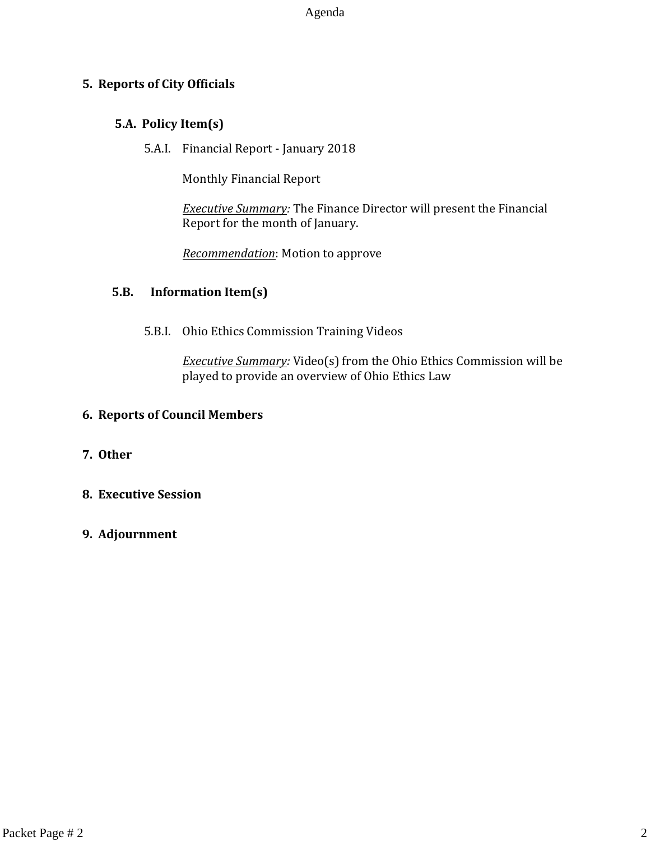Agenda

### **5. Reports of City Officials**

### **5.A. Policy Item(s)**

5.A.I. Financial Report - January 2018

Monthly Financial Report

*Executive Summary:* The Finance Director will present the Financial Report for the month of January.

*Recommendation*: Motion to approve

### **5.B. Information Item(s)**

5.B.I. Ohio Ethics Commission Training Videos

*Executive Summary:* Video(s) from the Ohio Ethics Commission will be played to provide an overview of Ohio Ethics Law

### **6. Reports of Council Members**

- **7. Other**
- **8. Executive Session**
- **9. Adjournment**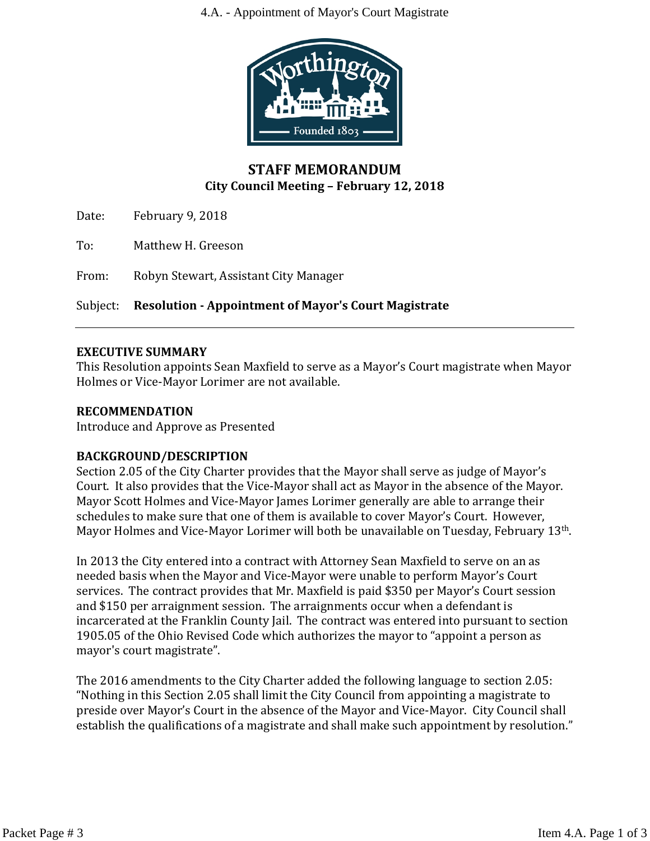4.A. - Appointment of Mayor's Court Magistrate



### **STAFF MEMORANDUM City Council Meeting – February 12, 2018**

Date: February 9, 2018

To: Matthew H. Greeson

From: Robyn Stewart, Assistant City Manager

Subject: **Resolution - Appointment of Mayor's Court Magistrate**

### **EXECUTIVE SUMMARY**

This Resolution appoints Sean Maxfield to serve as a Mayor's Court magistrate when Mayor Holmes or Vice-Mayor Lorimer are not available.

### **RECOMMENDATION**

Introduce and Approve as Presented

### **BACKGROUND/DESCRIPTION**

Section 2.05 of the City Charter provides that the Mayor shall serve as judge of Mayor's Court. It also provides that the Vice-Mayor shall act as Mayor in the absence of the Mayor. Mayor Scott Holmes and Vice-Mayor James Lorimer generally are able to arrange their schedules to make sure that one of them is available to cover Mayor's Court. However, Mayor Holmes and Vice-Mayor Lorimer will both be unavailable on Tuesday, February 13<sup>th</sup>.

In 2013 the City entered into a contract with Attorney Sean Maxfield to serve on an as needed basis when the Mayor and Vice-Mayor were unable to perform Mayor's Court services. The contract provides that Mr. Maxfield is paid \$350 per Mayor's Court session and \$150 per arraignment session. The arraignments occur when a defendant is incarcerated at the Franklin County Jail. The contract was entered into pursuant to section 1905.05 of the Ohio Revised Code which authorizes the mayor to "appoint a person as mayor's court magistrate".

The 2016 amendments to the City Charter added the following language to section 2.05: "Nothing in this Section 2.05 shall limit the City Council from appointing a magistrate to preside over Mayor's Court in the absence of the Mayor and Vice-Mayor. City Council shall establish the qualifications of a magistrate and shall make such appointment by resolution."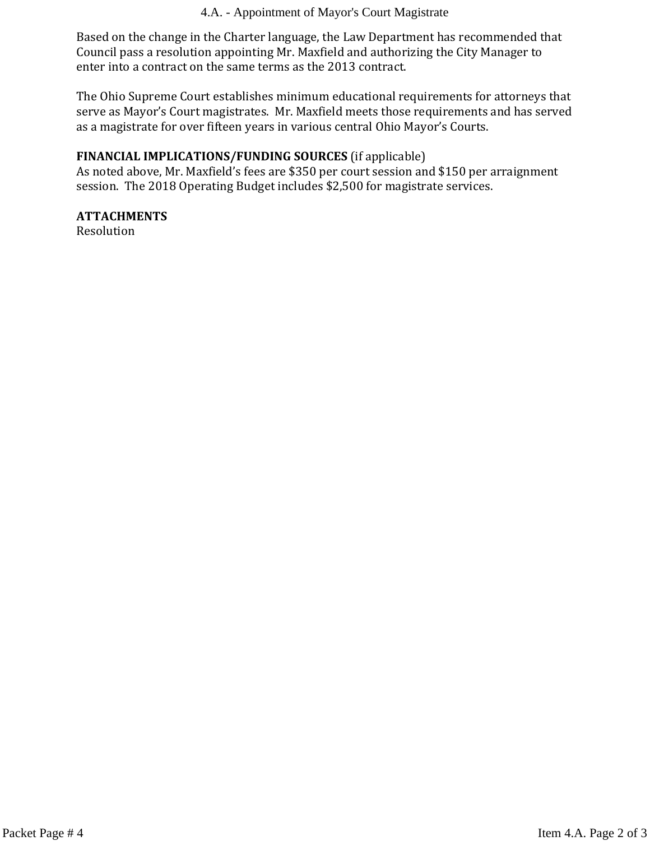4.A. - Appointment of Mayor's Court Magistrate

Based on the change in the Charter language, the Law Department has recommended that Council pass a resolution appointing Mr. Maxfield and authorizing the City Manager to enter into a contract on the same terms as the 2013 contract.

The Ohio Supreme Court establishes minimum educational requirements for attorneys that serve as Mayor's Court magistrates. Mr. Maxfield meets those requirements and has served as a magistrate for over fifteen years in various central Ohio Mayor's Courts.

### **FINANCIAL IMPLICATIONS/FUNDING SOURCES** (if applicable)

As noted above, Mr. Maxfield's fees are \$350 per court session and \$150 per arraignment session. The 2018 Operating Budget includes \$2,500 for magistrate services.

### **ATTACHMENTS**

Resolution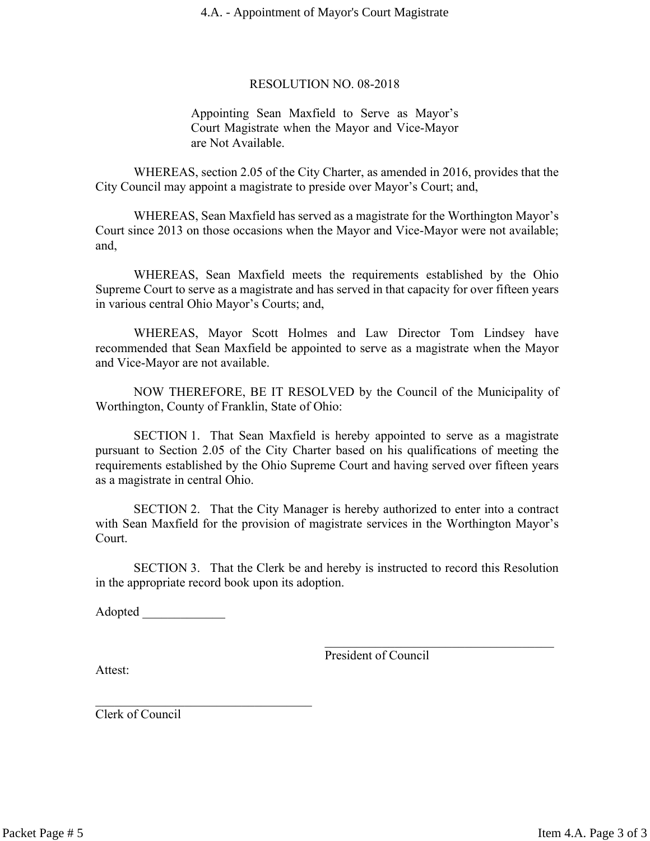### 4.A. - Appointment of Mayor's Court Magistrate

### RESOLUTION NO. 08-2018

Appointing Sean Maxfield to Serve as Mayor's Court Magistrate when the Mayor and Vice-Mayor are Not Available.

WHEREAS, section 2.05 of the City Charter, as amended in 2016, provides that the City Council may appoint a magistrate to preside over Mayor's Court; and,

WHEREAS, Sean Maxfield has served as a magistrate for the Worthington Mayor's Court since 2013 on those occasions when the Mayor and Vice-Mayor were not available; and,

WHEREAS, Sean Maxfield meets the requirements established by the Ohio Supreme Court to serve as a magistrate and has served in that capacity for over fifteen years in various central Ohio Mayor's Courts; and,

WHEREAS, Mayor Scott Holmes and Law Director Tom Lindsey have recommended that Sean Maxfield be appointed to serve as a magistrate when the Mayor and Vice-Mayor are not available.

NOW THEREFORE, BE IT RESOLVED by the Council of the Municipality of Worthington, County of Franklin, State of Ohio:

SECTION 1. That Sean Maxfield is hereby appointed to serve as a magistrate pursuant to Section 2.05 of the City Charter based on his qualifications of meeting the requirements established by the Ohio Supreme Court and having served over fifteen years as a magistrate in central Ohio.

SECTION 2. That the City Manager is hereby authorized to enter into a contract with Sean Maxfield for the provision of magistrate services in the Worthington Mayor's Court.

SECTION 3. That the Clerk be and hereby is instructed to record this Resolution in the appropriate record book upon its adoption.

Adopted  $\Box$ 

 $\mathcal{L}_\text{max}$  , where  $\mathcal{L}_\text{max}$  and  $\mathcal{L}_\text{max}$  and  $\mathcal{L}_\text{max}$ 

President of Council

 $\mathcal{L}_\text{max}$  , where  $\mathcal{L}_\text{max}$  and  $\mathcal{L}_\text{max}$  and  $\mathcal{L}_\text{max}$ 

Attest:

Clerk of Council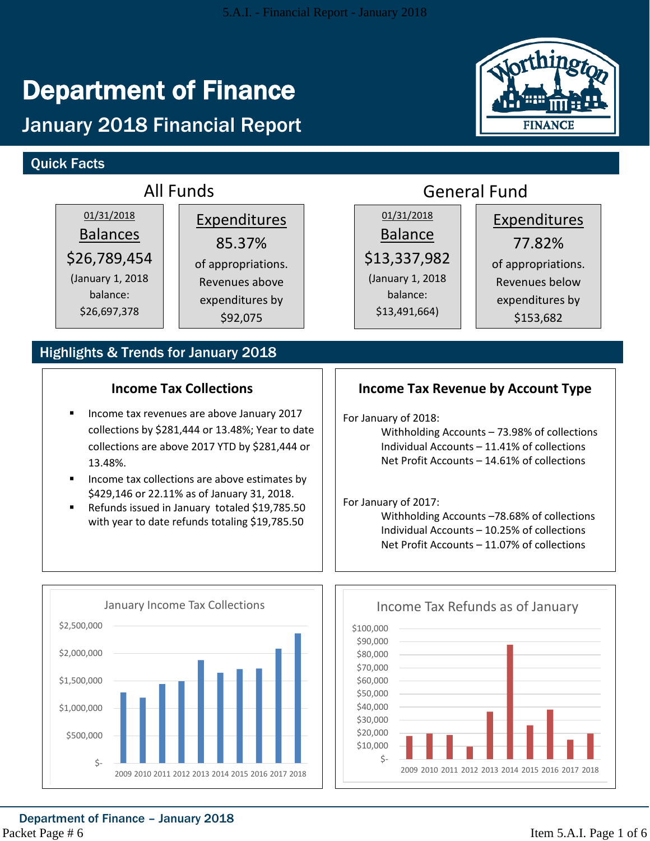# Department of Finance

# January 2018 Financial Report

### Quick Facts



# Department of Finance – January 2018

Packet Page # 6

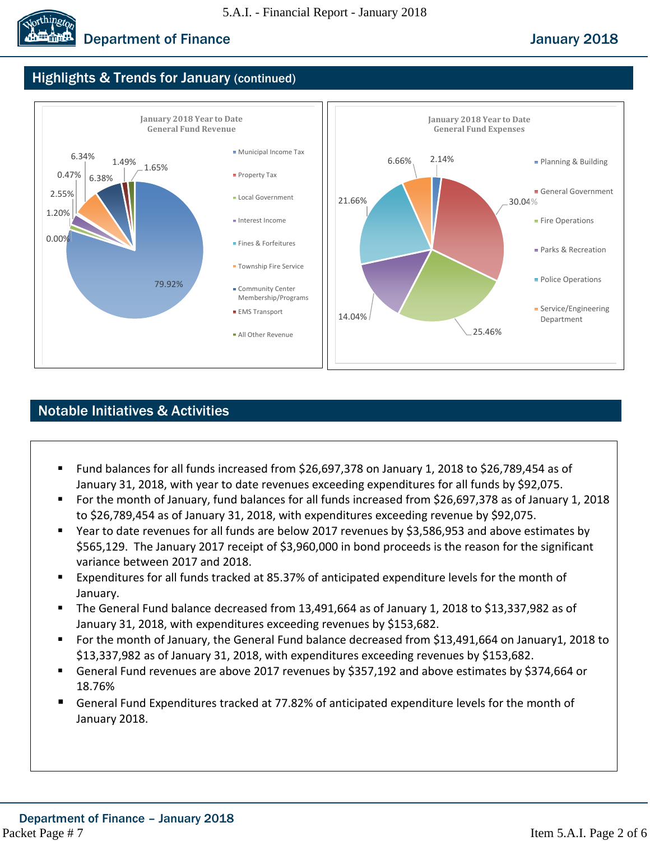

### Highlights & Trends for January (continued)



### Notable Initiatives & Activities

- Fund balances for all funds increased from \$26,697,378 on January 1, 2018 to \$26,789,454 as of January 31, 2018, with year to date revenues exceeding expenditures for all funds by \$92,075.
- For the month of January, fund balances for all funds increased from \$26,697,378 as of January 1, 2018 to \$26,789,454 as of January 31, 2018, with expenditures exceeding revenue by \$92,075.
- Year to date revenues for all funds are below 2017 revenues by \$3,586,953 and above estimates by \$565,129. The January 2017 receipt of \$3,960,000 in bond proceeds is the reason for the significant variance between 2017 and 2018.
- Expenditures for all funds tracked at 85.37% of anticipated expenditure levels for the month of January.
- The General Fund balance decreased from 13,491,664 as of January 1, 2018 to \$13,337,982 as of January 31, 2018, with expenditures exceeding revenues by \$153,682.
- For the month of January, the General Fund balance decreased from \$13,491,664 on January1, 2018 to \$13,337,982 as of January 31, 2018, with expenditures exceeding revenues by \$153,682.
- General Fund revenues are above 2017 revenues by \$357,192 and above estimates by \$374,664 or 18.76%
- General Fund Expenditures tracked at 77.82% of anticipated expenditure levels for the month of January 2018.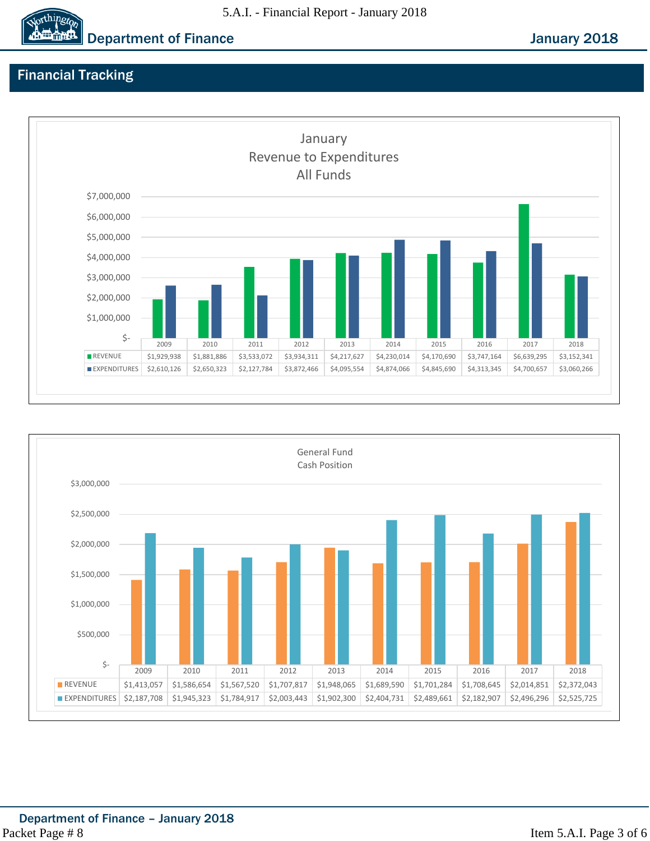### 5.A.I. - Financial Report - January 2018

**Department of Finance Contract Contract Contract Contract Contract Contract Contract Contract Contract Contract Contract Contract Contract Contract Contract Contract Contract Contract Contract Contract Contract Contract C** 

## Financial Tracking

orthingto





Item 5.A.I. Page 3 of 6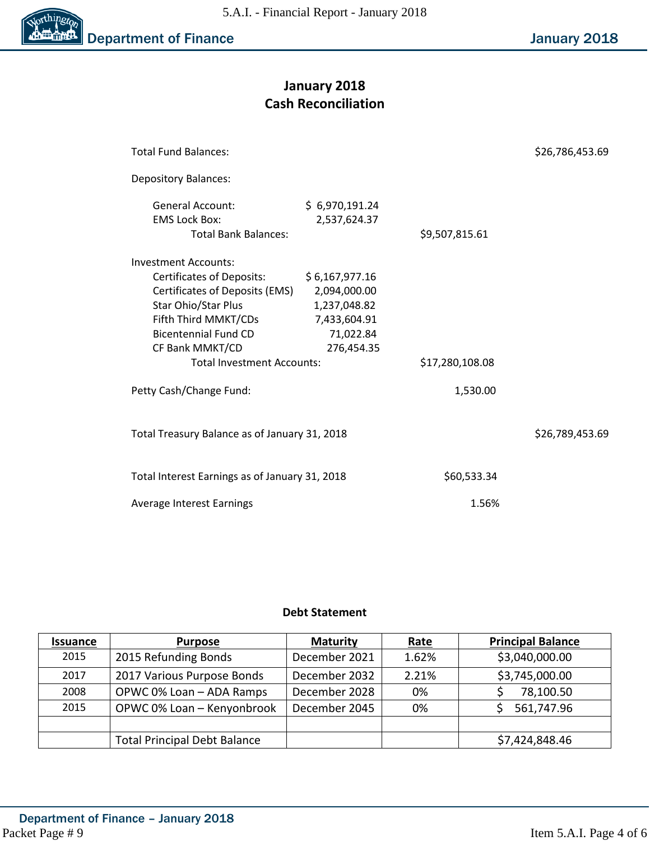

### **January 2018 Cash Reconciliation**

| <b>Total Fund Balances:</b>                                                                                                                                                                                                             |                                                                                           |                 | \$26,786,453.69 |
|-----------------------------------------------------------------------------------------------------------------------------------------------------------------------------------------------------------------------------------------|-------------------------------------------------------------------------------------------|-----------------|-----------------|
| <b>Depository Balances:</b>                                                                                                                                                                                                             |                                                                                           |                 |                 |
| General Account:<br><b>EMS Lock Box:</b><br><b>Total Bank Balances:</b>                                                                                                                                                                 | \$6,970,191.24<br>2,537,624.37                                                            | \$9,507,815.61  |                 |
| <b>Investment Accounts:</b><br><b>Certificates of Deposits:</b><br>Certificates of Deposits (EMS)<br>Star Ohio/Star Plus<br>Fifth Third MMKT/CDs<br><b>Bicentennial Fund CD</b><br>CF Bank MMKT/CD<br><b>Total Investment Accounts:</b> | \$6,167,977.16<br>2,094,000.00<br>1,237,048.82<br>7,433,604.91<br>71,022.84<br>276,454.35 | \$17,280,108.08 |                 |
| Petty Cash/Change Fund:                                                                                                                                                                                                                 |                                                                                           | 1,530.00        |                 |
| Total Treasury Balance as of January 31, 2018                                                                                                                                                                                           |                                                                                           | \$26,789,453.69 |                 |
| Total Interest Earnings as of January 31, 2018                                                                                                                                                                                          | \$60,533.34                                                                               |                 |                 |
| Average Interest Earnings                                                                                                                                                                                                               | 1.56%                                                                                     |                 |                 |

### **Debt Statement**

| <b>Issuance</b> | <b>Purpose</b>                      | <b>Maturity</b> | Rate  | <b>Principal Balance</b> |
|-----------------|-------------------------------------|-----------------|-------|--------------------------|
| 2015            | 2015 Refunding Bonds                | December 2021   | 1.62% | \$3,040,000.00           |
| 2017            | 2017 Various Purpose Bonds          | December 2032   | 2.21% | \$3,745,000.00           |
| 2008            | OPWC 0% Loan - ADA Ramps            | December 2028   | 0%    | 78,100.50                |
| 2015            | OPWC 0% Loan - Kenyonbrook          | December 2045   | 0%    | 561,747.96               |
|                 |                                     |                 |       |                          |
|                 | <b>Total Principal Debt Balance</b> |                 |       | \$7,424,848.46           |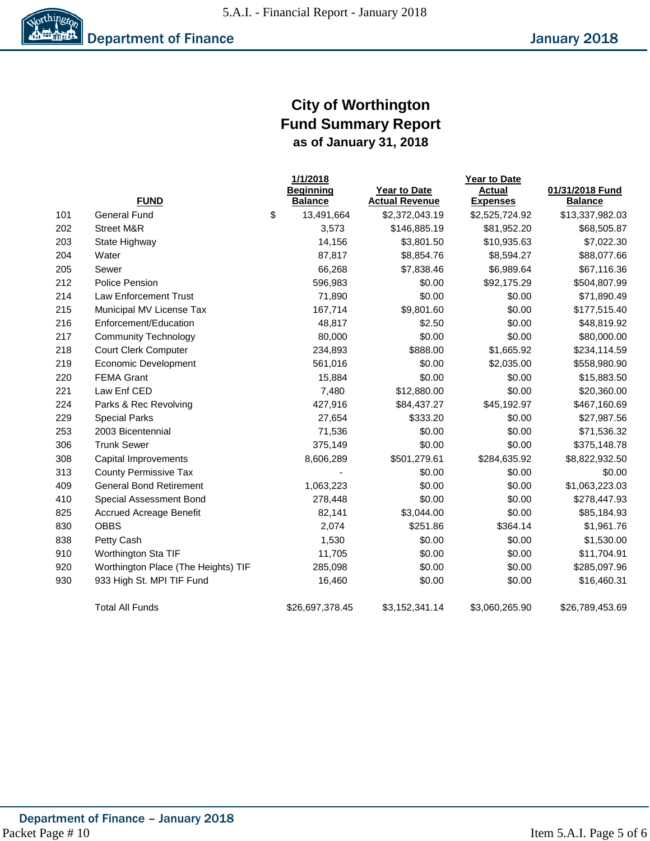5.A.I. - Financial Report - January 2018



### **City of Worthington Fund Summary Report as of January 31, 2018**

|     |                                     | 1/1/2018         |                       | Year to Date    |                 |  |  |  |
|-----|-------------------------------------|------------------|-----------------------|-----------------|-----------------|--|--|--|
|     |                                     | <b>Beginning</b> | <b>Year to Date</b>   | <b>Actual</b>   | 01/31/2018 Fund |  |  |  |
|     | <b>FUND</b>                         | <b>Balance</b>   | <b>Actual Revenue</b> | <b>Expenses</b> | <b>Balance</b>  |  |  |  |
| 101 | <b>General Fund</b>                 | \$<br>13,491,664 | \$2,372,043.19        | \$2,525,724.92  | \$13,337,982.03 |  |  |  |
| 202 | <b>Street M&amp;R</b>               | 3,573            | \$146,885.19          | \$81,952.20     | \$68,505.87     |  |  |  |
| 203 | State Highway                       | 14,156           | \$3,801.50            | \$10,935.63     | \$7,022.30      |  |  |  |
| 204 | Water                               | 87,817           | \$8,854.76            | \$8,594.27      | \$88,077.66     |  |  |  |
| 205 | Sewer                               | 66,268           | \$7,838.46            | \$6,989.64      | \$67,116.36     |  |  |  |
| 212 | Police Pension                      | 596,983          | \$0.00                | \$92,175.29     | \$504,807.99    |  |  |  |
| 214 | <b>Law Enforcement Trust</b>        | 71,890           | \$0.00                | \$0.00          | \$71,890.49     |  |  |  |
| 215 | Municipal MV License Tax            | 167,714          | \$9,801.60            | \$0.00          | \$177,515.40    |  |  |  |
| 216 | Enforcement/Education               | 48,817           | \$2.50                | \$0.00          | \$48,819.92     |  |  |  |
| 217 | <b>Community Technology</b>         | 80,000           | \$0.00                | \$0.00          | \$80,000.00     |  |  |  |
| 218 | <b>Court Clerk Computer</b>         | 234,893          | \$888.00              | \$1,665.92      | \$234,114.59    |  |  |  |
| 219 | Economic Development                | 561,016          | \$0.00                | \$2,035.00      | \$558,980.90    |  |  |  |
| 220 | <b>FEMA Grant</b>                   | 15,884           | \$0.00                | \$0.00          | \$15,883.50     |  |  |  |
| 221 | Law Enf CED                         | 7,480            | \$12,880.00           | \$0.00          | \$20,360.00     |  |  |  |
| 224 | Parks & Rec Revolving               | 427,916          | \$84,437.27           | \$45,192.97     | \$467,160.69    |  |  |  |
| 229 | <b>Special Parks</b>                | 27,654           | \$333.20              | \$0.00          | \$27,987.56     |  |  |  |
| 253 | 2003 Bicentennial                   | 71,536           | \$0.00                | \$0.00          | \$71,536.32     |  |  |  |
| 306 | <b>Trunk Sewer</b>                  | 375,149          | \$0.00                | \$0.00          | \$375,148.78    |  |  |  |
| 308 | Capital Improvements                | 8,606,289        | \$501,279.61          | \$284,635.92    | \$8,822,932.50  |  |  |  |
| 313 | <b>County Permissive Tax</b>        |                  | \$0.00                | \$0.00          | \$0.00          |  |  |  |
| 409 | <b>General Bond Retirement</b>      | 1,063,223        | \$0.00                | \$0.00          | \$1,063,223.03  |  |  |  |
| 410 | Special Assessment Bond             | 278,448          | \$0.00                | \$0.00          | \$278,447.93    |  |  |  |
| 825 | <b>Accrued Acreage Benefit</b>      | 82,141           | \$3,044.00            | \$0.00          | \$85,184.93     |  |  |  |
| 830 | <b>OBBS</b>                         | 2,074            | \$251.86              | \$364.14        | \$1,961.76      |  |  |  |
| 838 | Petty Cash                          | 1,530            | \$0.00                | \$0.00          | \$1,530.00      |  |  |  |
| 910 | Worthington Sta TIF                 | 11,705           | \$0.00                | \$0.00          | \$11,704.91     |  |  |  |
| 920 | Worthington Place (The Heights) TIF | 285,098          | \$0.00                | \$0.00          | \$285,097.96    |  |  |  |
| 930 | 933 High St. MPI TIF Fund           | 16,460           | \$0.00                | \$0.00          | \$16,460.31     |  |  |  |
|     |                                     |                  |                       |                 |                 |  |  |  |
|     | <b>Total All Funds</b>              | \$26,697,378.45  | \$3,152,341.14        | \$3,060,265.90  | \$26,789,453.69 |  |  |  |